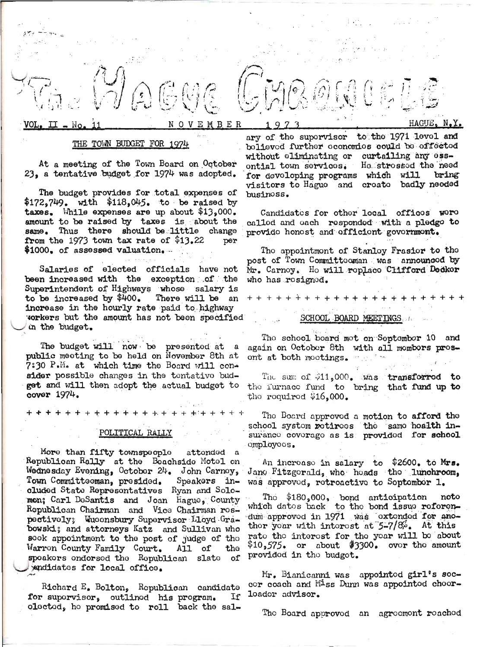

## NOVEMBER

HAGUE. N.Y.

## THE TOWN BUDGET FOR 1974

At a meeting of the Town Board on October 23. a tentative budget for 1974 was adopted.

The budget provides for total expenses of  $$172,749$ . with  $$118,045$ . to be raised by taxes. While expenses are up about \$13,000. amount to be raised by taxes is about the same. Thus there should be little change from the 1973 town tax rate of  $$13.22$ per \$1000, of assessed valuation...

Salaries of elected officials have not been increased with the exception of the Superintendent of Highways whose salary is There will be an to be increased by \$400. increase in the hourly rate paid to highway vorkers but the amount has not been specified in the budget.

The budget will now be presented at a public meeting to be held on November 8th at 7:30 P.M. at which time the Board will consider possible changes in the tentative budget and will then adopt the actual budget to cover 1974.

#### POLITICAL RALLY

More than fifty townspeople attonded a Republican Rally at the Boachside Motel on Wednesday Evening, October 24. John Carney, Town Committeeman, presided. Speakers included State Representatives Ryan and Solomon; Carl DeSantis and Joan Hague, County Republican Chairman and Vice Chairman rospectively; Wueensbury Supervisor Lloyd Grabowski; and attorneys Katz and Sullivan who sook appointment to the post of judge of the All of Warron County Family Court. the spoakors ondorsod the Republican slate of endidates for local office.

Richard E. Bolton, Republican candidate for supervisor, outlined his program. Ιf olectod, ho promised to roll back the sal-

ary of the supervisor to the 1971 level and bolieved further oconomies could be offected without eliminating or curtailing any ess-Ho strossed the need ontial town services. for developing programs which will bring visitors to Hague and create badly needed businoss.

Candidates for other local offices were callod and each responded with a pledge to provide honest and efficient government.

The appointment of Stanley Frasier to the post of Town Committeeman was announced by Mr. Carnoy. Ho will replace Clifford Decker who has rosigned.

+ + + + + + + + + + + + + + + +

### SCHOOL BOARD MEETINGS

The school board met on September 10 and again on October 8th with all mombors prosont at both moctings.

The sum of  $\phi$ 11,000. was transforred to the furnace fund to bring that fund up to the required \$16,000.

The Board approved a motion to afford the school system retirees the same hoalth insurance coverage as is provided for school cmployoos.

An incroase in salary to \$2600. to Mrs. Jang Fitzgerald, who heads the lunchroom, was approved, retroactive to September 1.

The \$180,000, bond anticipation note which dates back to the bond issue referendum approved in 1971 was extended for another year with interest at  $5-7/8$ . At this rato tho interest for the year will be about  $$10,575$ , or about  $$3300$ , over the amount provided in the budget.

Mr. Bianicanni was appointod girl's soccor coach and Miss Dunn was appointed choorloador advisor.

The Board approved an agreement reached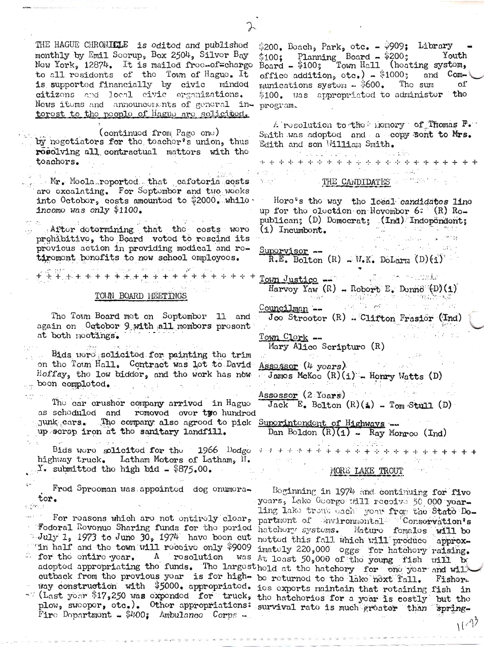THE HAGUE CHRONICLE is edited and published monthly by Emil Socrup, Box 2504, Silvor Bay Now York, 12874. It is mailed free-of=charge to all residents of the Town of Hague. It is supported financially by civic mindod citizons and local civic organizations. News items and announcements of general in- program. torost to the people of Hagne are solicited.

(continued from Page one) by nogotiators for tho toacher's union, thus rosolving all contractual matters with the toachors.

Mr. Moola reported that cafeteria costs are excalating. For September and two wooks into Octobor, costs amountod to \$2000. while \ incomo was only  $$1100.$ 

After determining that the costs were prohibitive, the Board voted to rescind its provious action in providing modical and rotiromont bonofits to now school omployoos.

# TOWN BOARD HEETINGS

**+ + + + + + + + + +** 

The Town Board mot on September 11 and again on Octobor 9 with all mombors present at both nootings.

Bids word solicited for painting the trim on the Town Hall. Contract was let to David Hoffay, the low biddor, and the work has now boon completed.

The car crushor company arrived in Hague as scheduled and removed over tyo hundred junk cars. The company also agreed to pick Superintendent of Highways up scrap iron at tho sanitary landfill.

Bids were solicited for the 1966 Dodge  $i + + + + + + +$ highway truck. Latham Motors of Latham, N. Y. submitted the high bid  $-$  \$875.00.

Frod Sprooman was appointed dog enumerator. cóns

Foderal Revenue Sharing funds for the period hatchery systems. Foderal Revenue Sharing funds for the period hatchery systems. Mature fomales will be<br>July 1, 1973 to June 30, 1974 have been cut notted this fall which will produce approx-"in half and the town will receive only \$9009 imately 220,000 eggs for hatchery raising. for the entire year. A rosolution adopted appropriating the funds. The largesthold at the hatchery for one year and will cutback from the provious year is for high- be returned to the lake next fall. way construction with \$5000. appropriated. ies experts maintain that retaining fish in - (Last year \$17,250 was expended for truck, the hatcheries for a year is costly but the plow, sweeper, ote,). Other appropriations: survival rate is much greater than spring-Fire Dopartmont =  $$400;$  Ambulanco Corps ...

\$200. Boach, Park, otc. - 9909; Library Planning Board - \$200; Youth<br>\$100; Town Hall (heating system,  $$100$ \$ Youth Board  $-$  \$100; office addition,  $\circ \text{tc}$ .) -  $\$1000\degree$ and Communications system - \$600. Tho sum of \$100. Was appropriated to administer the

A resolution to the monory of Thomas  $\mathbb{F}_{\bullet}$ Smith was adopted and a copy sent to Mrs. Edith and son William Smith.

**+ + + + + + + + + + + + + +** 

#### THE CANDIDATES

Horo's the way the local candidates line up for the election on November 6: (R) Ropublican; (D) Domocrat; (Ind) Indopendent;  $(i)$  Incumbont.

Supervisor -- $R.E.$  Bolton (R) - W.K. DoLarm (D)(i)

Town Justico --Harvoy Yaw  $(R)$  - Robort E. Donno  $(D)(1)$ 

Councilman --

Joe Streeter (R) . Clifton Frasier (Ind)

<u>Town Clork</u> --Mary Alico Scripturo (R)

 $\lambda$ ssossor (4 yoars) Jamos McKoo (R)(i) - Honry Watts (D)

 $\Lambda$ ssossor (2 Yoars)  $Jack$  E. Bolton  $(R)(A)$  - Tom Stull  $(D)$ 

Dan Boldon  $(R)(i)$  . Ray Monroe (Ind)

#### MORE LAKE TROUT

Boginning in 1974 and continuing for fivo years, Lake George will receive 50,000 yearling lake treatment your from the State De-For reasons which are not entirely clear, partment of convironmental Conservation's was At loast 50,000 of the young fish will be Fishor-

 $11 - 12$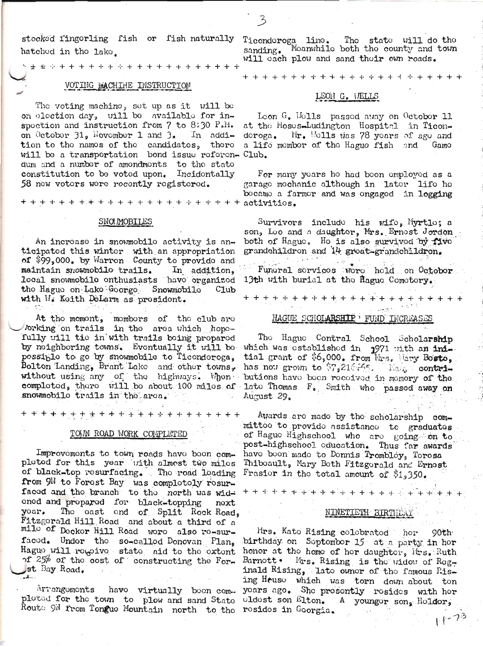stocked fingerling fish or fish naturally hatched in the lake.

# 

## VOTING MACHINE INSTRUCTION

The voting machino, set up as it will be on election day, will be available for inspoction and instruction from 7 to 8:30 P.H. on October 31, November 1 and 3. In addition to the names of the candidates, there will be a transportation bond issue referen- Club. dum and a number of amondments to the state<br>constitution to be voted upon. Incidentally 58 new votors were rocently registered.

#### SNOMOBILES

An increase in snowmobile activity is anticipatod this winter with an appropriation<br>of \$99,000. by Warren County to provide and maintain snowmobilo trails. In addition, local snowmobile onthusiasts have organized the Hague on Lake Goorge Snowmobile  $C1ub$ with W. Koith DeLarm as prosident.

At the moment, mombers of the club are<br>bridge on trails in the area which hopefully will tie in with trails being propared by noighboring towns. Eventually it will be possible to go by snowmobile to Ticonderoga, Bolton Landing, Brant Lake and other towns, without using any of the highways. When completed, there will be about 100 miles of snowmobile trails in the area.

## TOWN ROAD WORK COMPLETED

Improvements to town roads have been comploted for this year with almost two milos of black-top resurfacing. The road leading Frasier in the total amount of \$1,350. ened and prepared for black-topping noxt The east end of Split Rock Road, yoar. Fitzgerald Hill Road and about a third of a mile of Decker Hill Road were also re-surfaced. Under the so-called Denovan Plan, Hague will repoive state aid to the extent of 25% of the cost of constructing the Forst Bay Road.  $\mathbf{A}$ 

ploted for the town to plow and sand State eldest son Elton. A younger son, Helder, Route 9M from Tongue Mountain north to the resides in Goorgia.

Ticonderoga line. The state will do the sanding. Moanwhile both the county and town will each plow and sand their own roads.

#### 

### LEON G. WELLS

Leon G. Wolls passed away on October 11 at the Moses-Ludington Hospital in Ticonderoga. Nr. Wells was 78 years of ago and a life member of the Hague fish and Game

For many years he had been employed as a garage mochanic although in later life ho bocamo a farmor and was ongagod in logging

Survivors include his wife, Myrtle; a son, Loo and a daughtor, Mrs. Ernost Jordon both of Hague. Ho is also survivod by fivo grandohildron and 14 groat-grandchildron.

Funeral services were held on October. 13th with burial at the flague Cometery.

+ + + + + + + + + + + + + + + + + + + +

#### HAGUE SCHOLARSHIP FUND INCREASES

The Hague Contral School Scholarship which was established in 1971 with an initial grant of \$6,000. from Mrs. Mary Bosto, has not grown to \$7,216,45. Have contributions have been received in memory of the lato Thomas F. Smith who passed away on August 29.

Awards are made by the scholarship committoo to provido assistanco to graduates of Hague Highschool who are going on to post-highschool education. Thus far awards have boon made to Donnis Trombley, Torosa Thiboault, Mary Both Fitzgerald and Ernest

## NINETIEIH BIRTHDAY

Mrs. Kato Rising colobratod hor  $90th$ birthday on September 15 at a party in her honor at the home of her daughter, Hrs. Ruth Barnott. Mrs. Rising is the widow of Roginald Rising, lato owner of the famous Rising Heuse which was torn down about ton Arrangoments have virtually been com- years ago. She presently resides with her  $1 + 2^3$